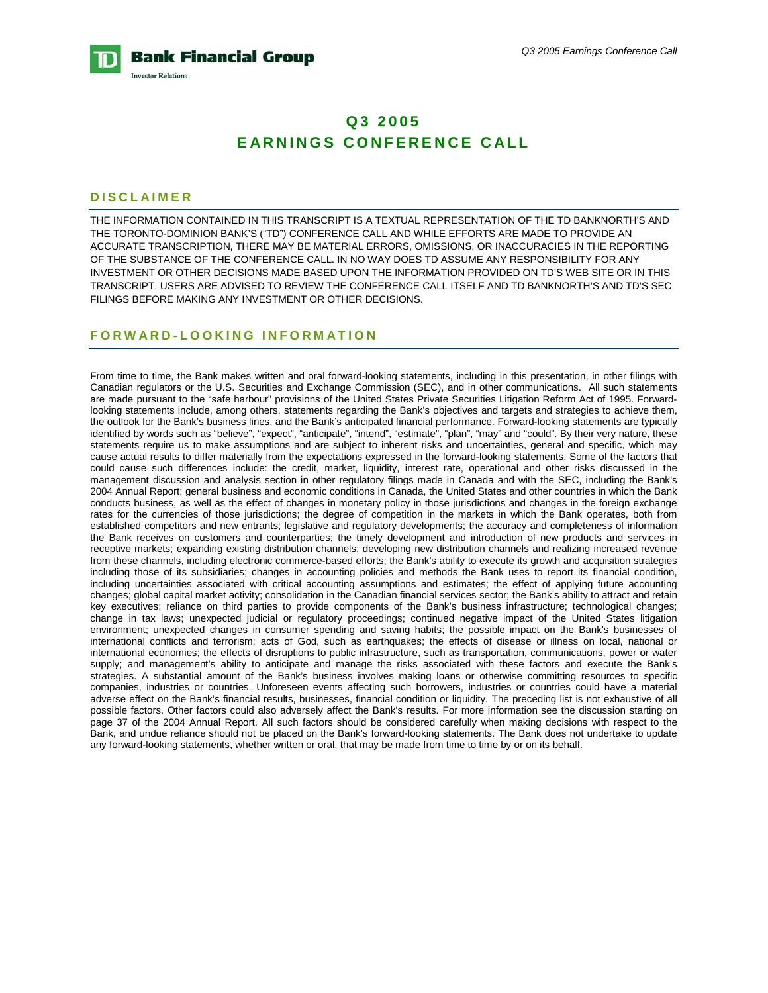

# **Q3 2005 EARNINGS CONFERENCE CALL**

#### **DISCLAIMER**

THE INFORMATION CONTAINED IN THIS TRANSCRIPT IS A TEXTUAL REPRESENTATION OF THE TD BANKNORTH'S AND THE TORONTO-DOMINION BANK'S ("TD") CONFERENCE CALL AND WHILE EFFORTS ARE MADE TO PROVIDE AN ACCURATE TRANSCRIPTION, THERE MAY BE MATERIAL ERRORS, OMISSIONS, OR INACCURACIES IN THE REPORTING OF THE SUBSTANCE OF THE CONFERENCE CALL. IN NO WAY DOES TD ASSUME ANY RESPONSIBILITY FOR ANY INVESTMENT OR OTHER DECISIONS MADE BASED UPON THE INFORMATION PROVIDED ON TD'S WEB SITE OR IN THIS TRANSCRIPT. USERS ARE ADVISED TO REVIEW THE CONFERENCE CALL ITSELF AND TD BANKNORTH'S AND TD'S SEC FILINGS BEFORE MAKING ANY INVESTMENT OR OTHER DECISIONS.

### **FORWARD-LOOKING INFORMATION**

From time to time, the Bank makes written and oral forward-looking statements, including in this presentation, in other filings with Canadian regulators or the U.S. Securities and Exchange Commission (SEC), and in other communications. All such statements are made pursuant to the "safe harbour" provisions of the United States Private Securities Litigation Reform Act of 1995. Forwardlooking statements include, among others, statements regarding the Bank's objectives and targets and strategies to achieve them, the outlook for the Bank's business lines, and the Bank's anticipated financial performance. Forward-looking statements are typically identified by words such as "believe", "expect", "anticipate", "intend", "estimate", "plan", "may" and "could". By their very nature, these statements require us to make assumptions and are subject to inherent risks and uncertainties, general and specific, which may cause actual results to differ materially from the expectations expressed in the forward-looking statements. Some of the factors that could cause such differences include: the credit, market, liquidity, interest rate, operational and other risks discussed in the management discussion and analysis section in other regulatory filings made in Canada and with the SEC, including the Bank's 2004 Annual Report; general business and economic conditions in Canada, the United States and other countries in which the Bank conducts business, as well as the effect of changes in monetary policy in those jurisdictions and changes in the foreign exchange rates for the currencies of those jurisdictions; the degree of competition in the markets in which the Bank operates, both from established competitors and new entrants; legislative and regulatory developments; the accuracy and completeness of information the Bank receives on customers and counterparties; the timely development and introduction of new products and services in receptive markets; expanding existing distribution channels; developing new distribution channels and realizing increased revenue from these channels, including electronic commerce-based efforts; the Bank's ability to execute its growth and acquisition strategies including those of its subsidiaries; changes in accounting policies and methods the Bank uses to report its financial condition, including uncertainties associated with critical accounting assumptions and estimates; the effect of applying future accounting changes; global capital market activity; consolidation in the Canadian financial services sector; the Bank's ability to attract and retain key executives; reliance on third parties to provide components of the Bank's business infrastructure; technological changes; change in tax laws; unexpected judicial or regulatory proceedings; continued negative impact of the United States litigation environment; unexpected changes in consumer spending and saving habits; the possible impact on the Bank's businesses of international conflicts and terrorism; acts of God, such as earthquakes; the effects of disease or illness on local, national or international economies; the effects of disruptions to public infrastructure, such as transportation, communications, power or water supply; and management's ability to anticipate and manage the risks associated with these factors and execute the Bank's strategies. A substantial amount of the Bank's business involves making loans or otherwise committing resources to specific companies, industries or countries. Unforeseen events affecting such borrowers, industries or countries could have a material adverse effect on the Bank's financial results, businesses, financial condition or liquidity. The preceding list is not exhaustive of all possible factors. Other factors could also adversely affect the Bank's results. For more information see the discussion starting on page 37 of the 2004 Annual Report. All such factors should be considered carefully when making decisions with respect to the Bank, and undue reliance should not be placed on the Bank's forward-looking statements. The Bank does not undertake to update any forward-looking statements, whether written or oral, that may be made from time to time by or on its behalf.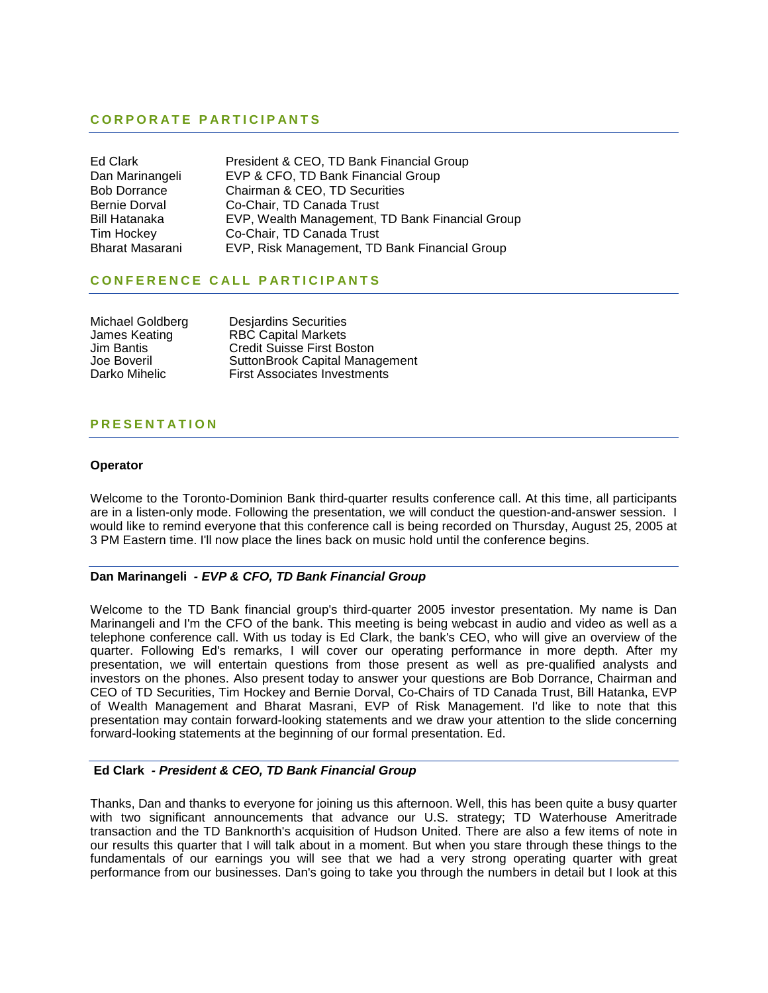# **CORPORATE PARTICIPANTS**

| Ed Clark             | President & CEO, TD Bank Financial Group        |
|----------------------|-------------------------------------------------|
| Dan Marinangeli      | EVP & CFO, TD Bank Financial Group              |
| <b>Bob Dorrance</b>  | Chairman & CEO, TD Securities                   |
| <b>Bernie Dorval</b> | Co-Chair, TD Canada Trust                       |
| <b>Bill Hatanaka</b> | EVP, Wealth Management, TD Bank Financial Group |
| Tim Hockey           | Co-Chair, TD Canada Trust                       |
| Bharat Masarani      | EVP, Risk Management, TD Bank Financial Group   |

# **CONFERENCE CALL PARTICIPANTS**

| Michael Goldberg  | <b>Desjardins Securities</b>        |
|-------------------|-------------------------------------|
| James Keating     | <b>RBC Capital Markets</b>          |
| <b>Jim Bantis</b> | <b>Credit Suisse First Boston</b>   |
| Joe Boveril       | SuttonBrook Capital Management      |
| Darko Mihelic     | <b>First Associates Investments</b> |

# **PRESENTATION**

#### **Operator**

Welcome to the Toronto-Dominion Bank third-quarter results conference call. At this time, all participants are in a listen-only mode. Following the presentation, we will conduct the question-and-answer session. I would like to remind everyone that this conference call is being recorded on Thursday, August 25, 2005 at 3 PM Eastern time. I'll now place the lines back on music hold until the conference begins.

#### **Dan Marinangeli** *- EVP & CFO, TD Bank Financial Group*

Welcome to the TD Bank financial group's third-quarter 2005 investor presentation. My name is Dan Marinangeli and I'm the CFO of the bank. This meeting is being webcast in audio and video as well as a telephone conference call. With us today is Ed Clark, the bank's CEO, who will give an overview of the quarter. Following Ed's remarks, I will cover our operating performance in more depth. After my presentation, we will entertain questions from those present as well as pre-qualified analysts and investors on the phones. Also present today to answer your questions are Bob Dorrance, Chairman and CEO of TD Securities, Tim Hockey and Bernie Dorval, Co-Chairs of TD Canada Trust, Bill Hatanka, EVP of Wealth Management and Bharat Masrani, EVP of Risk Management. I'd like to note that this presentation may contain forward-looking statements and we draw your attention to the slide concerning forward-looking statements at the beginning of our formal presentation. Ed.

### **Ed Clark** *- President & CEO, TD Bank Financial Group*

Thanks, Dan and thanks to everyone for joining us this afternoon. Well, this has been quite a busy quarter with two significant announcements that advance our U.S. strategy: TD Waterhouse Ameritrade transaction and the TD Banknorth's acquisition of Hudson United. There are also a few items of note in our results this quarter that I will talk about in a moment. But when you stare through these things to the fundamentals of our earnings you will see that we had a very strong operating quarter with great performance from our businesses. Dan's going to take you through the numbers in detail but I look at this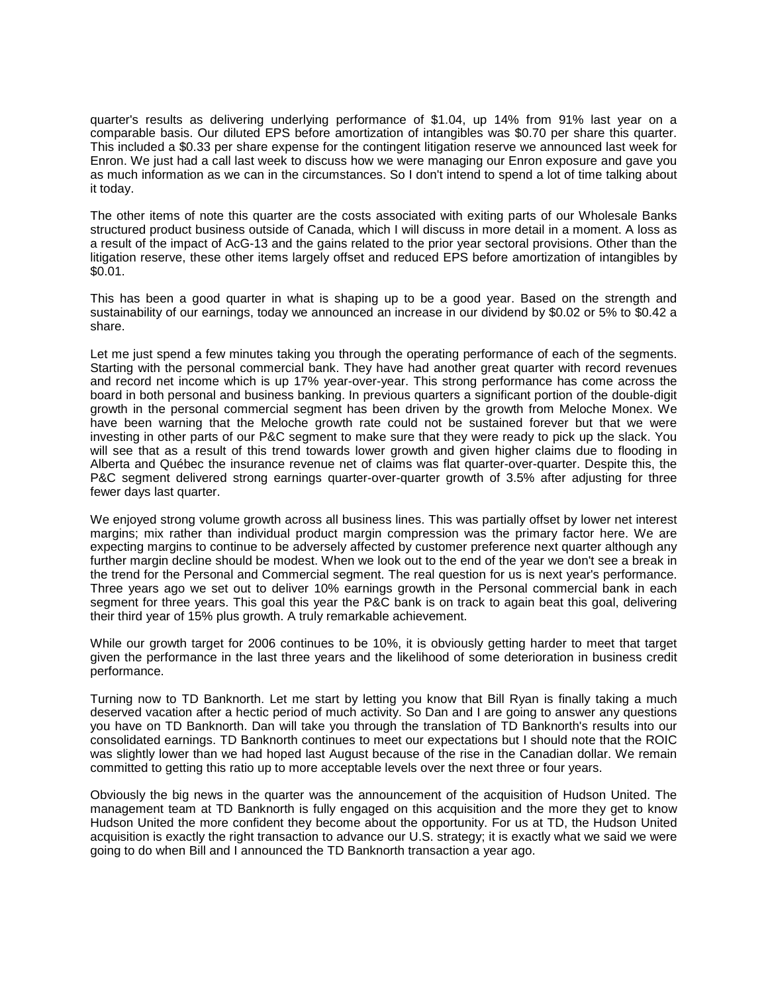quarter's results as delivering underlying performance of \$1.04, up 14% from 91% last year on a comparable basis. Our diluted EPS before amortization of intangibles was \$0.70 per share this quarter. This included a \$0.33 per share expense for the contingent litigation reserve we announced last week for Enron. We just had a call last week to discuss how we were managing our Enron exposure and gave you as much information as we can in the circumstances. So I don't intend to spend a lot of time talking about it today.

The other items of note this quarter are the costs associated with exiting parts of our Wholesale Banks structured product business outside of Canada, which I will discuss in more detail in a moment. A loss as a result of the impact of AcG-13 and the gains related to the prior year sectoral provisions. Other than the litigation reserve, these other items largely offset and reduced EPS before amortization of intangibles by \$0.01.

This has been a good quarter in what is shaping up to be a good year. Based on the strength and sustainability of our earnings, today we announced an increase in our dividend by \$0.02 or 5% to \$0.42 a share.

Let me just spend a few minutes taking you through the operating performance of each of the segments. Starting with the personal commercial bank. They have had another great quarter with record revenues and record net income which is up 17% year-over-year. This strong performance has come across the board in both personal and business banking. In previous quarters a significant portion of the double-digit growth in the personal commercial segment has been driven by the growth from Meloche Monex. We have been warning that the Meloche growth rate could not be sustained forever but that we were investing in other parts of our P&C segment to make sure that they were ready to pick up the slack. You will see that as a result of this trend towards lower growth and given higher claims due to flooding in Alberta and Québec the insurance revenue net of claims was flat quarter-over-quarter. Despite this, the P&C segment delivered strong earnings quarter-over-quarter growth of 3.5% after adjusting for three fewer days last quarter.

We enjoyed strong volume growth across all business lines. This was partially offset by lower net interest margins; mix rather than individual product margin compression was the primary factor here. We are expecting margins to continue to be adversely affected by customer preference next quarter although any further margin decline should be modest. When we look out to the end of the year we don't see a break in the trend for the Personal and Commercial segment. The real question for us is next year's performance. Three years ago we set out to deliver 10% earnings growth in the Personal commercial bank in each segment for three years. This goal this year the P&C bank is on track to again beat this goal, delivering their third year of 15% plus growth. A truly remarkable achievement.

While our growth target for 2006 continues to be 10%, it is obviously getting harder to meet that target given the performance in the last three years and the likelihood of some deterioration in business credit performance.

Turning now to TD Banknorth. Let me start by letting you know that Bill Ryan is finally taking a much deserved vacation after a hectic period of much activity. So Dan and I are going to answer any questions you have on TD Banknorth. Dan will take you through the translation of TD Banknorth's results into our consolidated earnings. TD Banknorth continues to meet our expectations but I should note that the ROIC was slightly lower than we had hoped last August because of the rise in the Canadian dollar. We remain committed to getting this ratio up to more acceptable levels over the next three or four years.

Obviously the big news in the quarter was the announcement of the acquisition of Hudson United. The management team at TD Banknorth is fully engaged on this acquisition and the more they get to know Hudson United the more confident they become about the opportunity. For us at TD, the Hudson United acquisition is exactly the right transaction to advance our U.S. strategy; it is exactly what we said we were going to do when Bill and I announced the TD Banknorth transaction a year ago.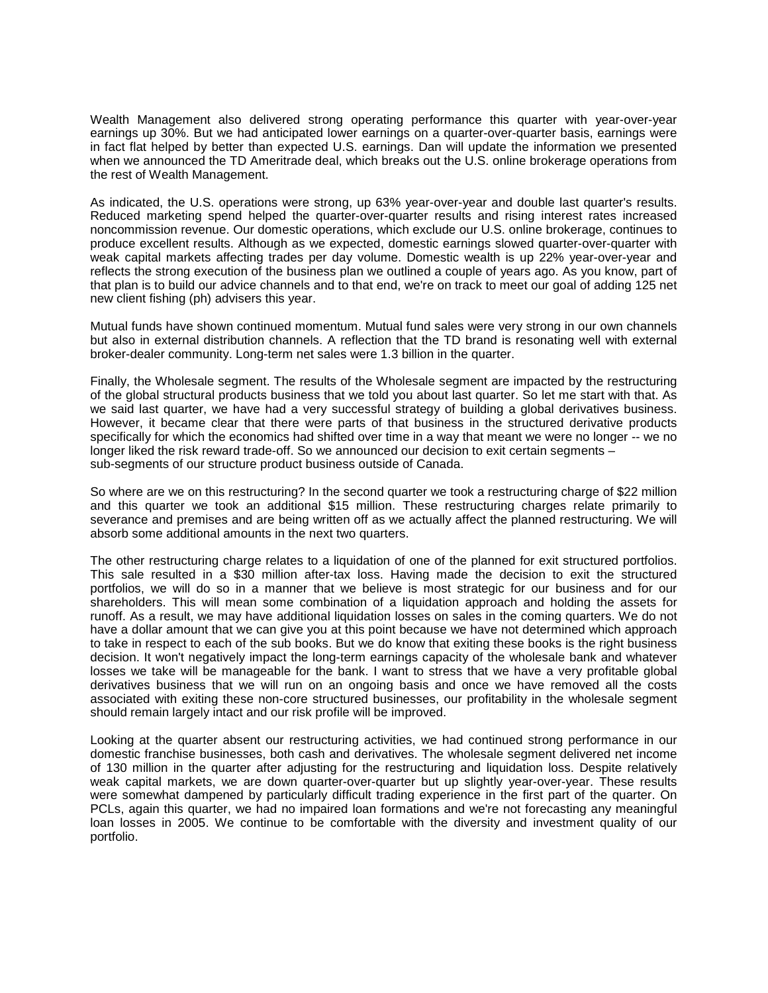Wealth Management also delivered strong operating performance this quarter with year-over-year earnings up 30%. But we had anticipated lower earnings on a quarter-over-quarter basis, earnings were in fact flat helped by better than expected U.S. earnings. Dan will update the information we presented when we announced the TD Ameritrade deal, which breaks out the U.S. online brokerage operations from the rest of Wealth Management.

As indicated, the U.S. operations were strong, up 63% year-over-year and double last quarter's results. Reduced marketing spend helped the quarter-over-quarter results and rising interest rates increased noncommission revenue. Our domestic operations, which exclude our U.S. online brokerage, continues to produce excellent results. Although as we expected, domestic earnings slowed quarter-over-quarter with weak capital markets affecting trades per day volume. Domestic wealth is up 22% year-over-year and reflects the strong execution of the business plan we outlined a couple of years ago. As you know, part of that plan is to build our advice channels and to that end, we're on track to meet our goal of adding 125 net new client fishing (ph) advisers this year.

Mutual funds have shown continued momentum. Mutual fund sales were very strong in our own channels but also in external distribution channels. A reflection that the TD brand is resonating well with external broker-dealer community. Long-term net sales were 1.3 billion in the quarter.

Finally, the Wholesale segment. The results of the Wholesale segment are impacted by the restructuring of the global structural products business that we told you about last quarter. So let me start with that. As we said last quarter, we have had a very successful strategy of building a global derivatives business. However, it became clear that there were parts of that business in the structured derivative products specifically for which the economics had shifted over time in a way that meant we were no longer -- we no longer liked the risk reward trade-off. So we announced our decision to exit certain segments – sub-segments of our structure product business outside of Canada.

So where are we on this restructuring? In the second quarter we took a restructuring charge of \$22 million and this quarter we took an additional \$15 million. These restructuring charges relate primarily to severance and premises and are being written off as we actually affect the planned restructuring. We will absorb some additional amounts in the next two quarters.

The other restructuring charge relates to a liquidation of one of the planned for exit structured portfolios. This sale resulted in a \$30 million after-tax loss. Having made the decision to exit the structured portfolios, we will do so in a manner that we believe is most strategic for our business and for our shareholders. This will mean some combination of a liquidation approach and holding the assets for runoff. As a result, we may have additional liquidation losses on sales in the coming quarters. We do not have a dollar amount that we can give you at this point because we have not determined which approach to take in respect to each of the sub books. But we do know that exiting these books is the right business decision. It won't negatively impact the long-term earnings capacity of the wholesale bank and whatever losses we take will be manageable for the bank. I want to stress that we have a very profitable global derivatives business that we will run on an ongoing basis and once we have removed all the costs associated with exiting these non-core structured businesses, our profitability in the wholesale segment should remain largely intact and our risk profile will be improved.

Looking at the quarter absent our restructuring activities, we had continued strong performance in our domestic franchise businesses, both cash and derivatives. The wholesale segment delivered net income of 130 million in the quarter after adjusting for the restructuring and liquidation loss. Despite relatively weak capital markets, we are down quarter-over-quarter but up slightly year-over-year. These results were somewhat dampened by particularly difficult trading experience in the first part of the quarter. On PCLs, again this quarter, we had no impaired loan formations and we're not forecasting any meaningful loan losses in 2005. We continue to be comfortable with the diversity and investment quality of our portfolio.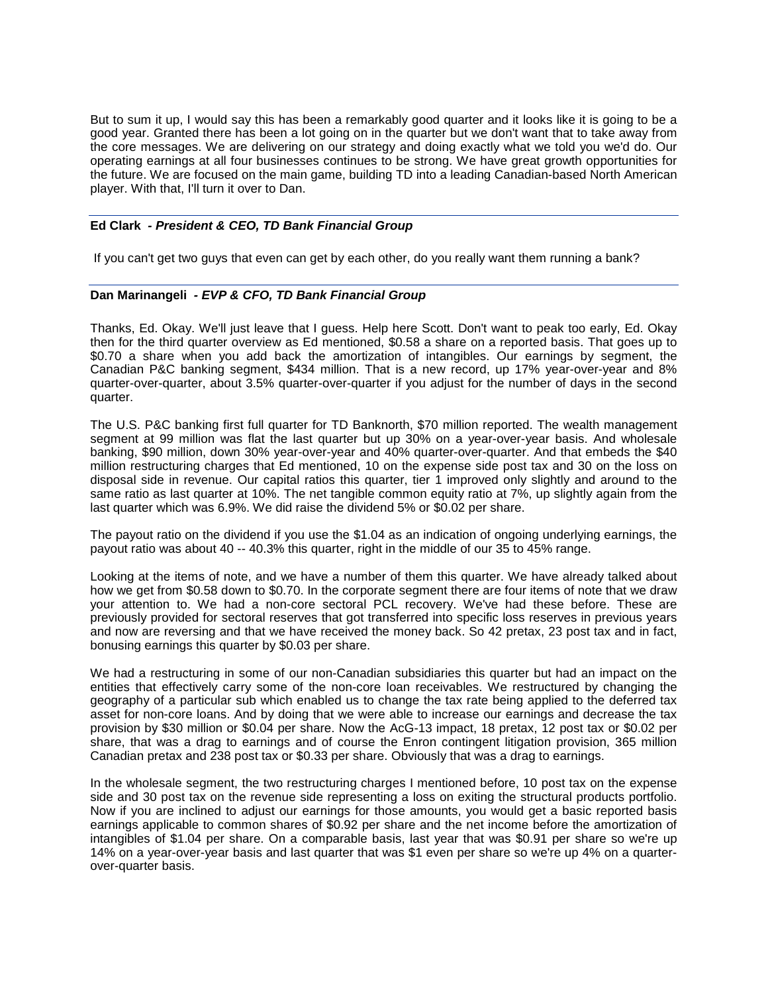But to sum it up, I would say this has been a remarkably good quarter and it looks like it is going to be a good year. Granted there has been a lot going on in the quarter but we don't want that to take away from the core messages. We are delivering on our strategy and doing exactly what we told you we'd do. Our operating earnings at all four businesses continues to be strong. We have great growth opportunities for the future. We are focused on the main game, building TD into a leading Canadian-based North American player. With that, I'll turn it over to Dan.

# **Ed Clark** *- President & CEO, TD Bank Financial Group*

If you can't get two guys that even can get by each other, do you really want them running a bank?

# **Dan Marinangeli** *- EVP & CFO, TD Bank Financial Group*

Thanks, Ed. Okay. We'll just leave that I guess. Help here Scott. Don't want to peak too early, Ed. Okay then for the third quarter overview as Ed mentioned, \$0.58 a share on a reported basis. That goes up to \$0.70 a share when you add back the amortization of intangibles. Our earnings by segment, the Canadian P&C banking segment, \$434 million. That is a new record, up 17% year-over-year and 8% quarter-over-quarter, about 3.5% quarter-over-quarter if you adjust for the number of days in the second quarter.

The U.S. P&C banking first full quarter for TD Banknorth, \$70 million reported. The wealth management segment at 99 million was flat the last quarter but up 30% on a year-over-year basis. And wholesale banking, \$90 million, down 30% year-over-year and 40% quarter-over-quarter. And that embeds the \$40 million restructuring charges that Ed mentioned, 10 on the expense side post tax and 30 on the loss on disposal side in revenue. Our capital ratios this quarter, tier 1 improved only slightly and around to the same ratio as last quarter at 10%. The net tangible common equity ratio at 7%, up slightly again from the last quarter which was 6.9%. We did raise the dividend 5% or \$0.02 per share.

The payout ratio on the dividend if you use the \$1.04 as an indication of ongoing underlying earnings, the payout ratio was about 40 -- 40.3% this quarter, right in the middle of our 35 to 45% range.

Looking at the items of note, and we have a number of them this quarter. We have already talked about how we get from \$0.58 down to \$0.70. In the corporate segment there are four items of note that we draw your attention to. We had a non-core sectoral PCL recovery. We've had these before. These are previously provided for sectoral reserves that got transferred into specific loss reserves in previous years and now are reversing and that we have received the money back. So 42 pretax, 23 post tax and in fact, bonusing earnings this quarter by \$0.03 per share.

We had a restructuring in some of our non-Canadian subsidiaries this quarter but had an impact on the entities that effectively carry some of the non-core loan receivables. We restructured by changing the geography of a particular sub which enabled us to change the tax rate being applied to the deferred tax asset for non-core loans. And by doing that we were able to increase our earnings and decrease the tax provision by \$30 million or \$0.04 per share. Now the AcG-13 impact, 18 pretax, 12 post tax or \$0.02 per share, that was a drag to earnings and of course the Enron contingent litigation provision, 365 million Canadian pretax and 238 post tax or \$0.33 per share. Obviously that was a drag to earnings.

In the wholesale segment, the two restructuring charges I mentioned before, 10 post tax on the expense side and 30 post tax on the revenue side representing a loss on exiting the structural products portfolio. Now if you are inclined to adjust our earnings for those amounts, you would get a basic reported basis earnings applicable to common shares of \$0.92 per share and the net income before the amortization of intangibles of \$1.04 per share. On a comparable basis, last year that was \$0.91 per share so we're up 14% on a year-over-year basis and last quarter that was \$1 even per share so we're up 4% on a quarterover-quarter basis.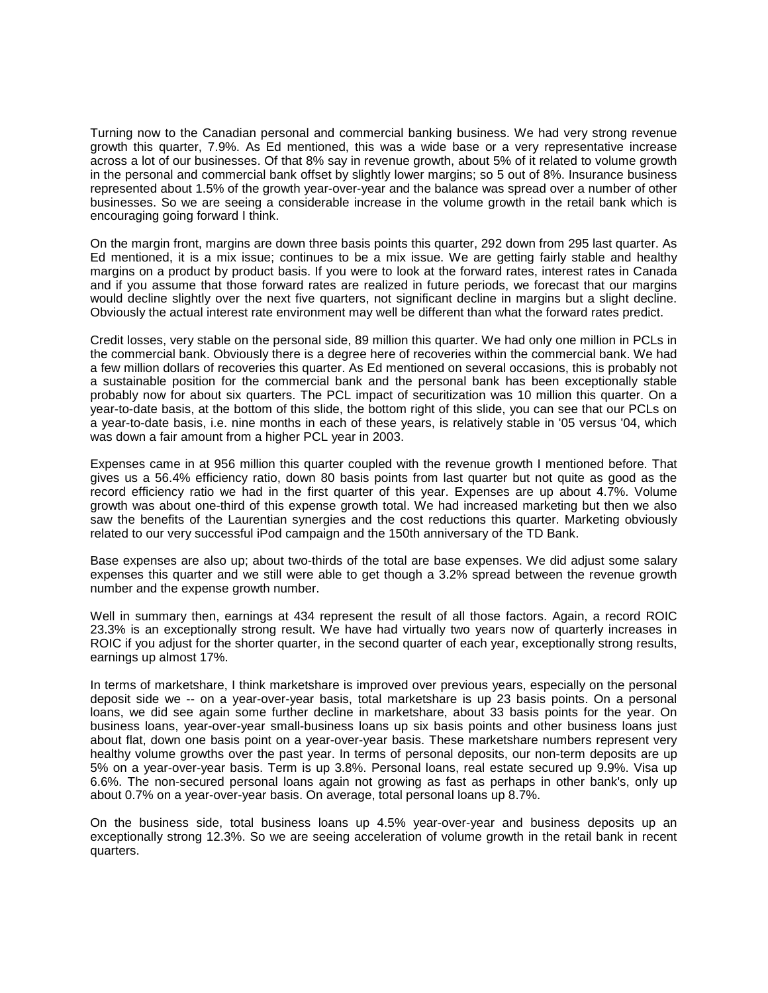Turning now to the Canadian personal and commercial banking business. We had very strong revenue growth this quarter, 7.9%. As Ed mentioned, this was a wide base or a very representative increase across a lot of our businesses. Of that 8% say in revenue growth, about 5% of it related to volume growth in the personal and commercial bank offset by slightly lower margins; so 5 out of 8%. Insurance business represented about 1.5% of the growth year-over-year and the balance was spread over a number of other businesses. So we are seeing a considerable increase in the volume growth in the retail bank which is encouraging going forward I think.

On the margin front, margins are down three basis points this quarter, 292 down from 295 last quarter. As Ed mentioned, it is a mix issue; continues to be a mix issue. We are getting fairly stable and healthy margins on a product by product basis. If you were to look at the forward rates, interest rates in Canada and if you assume that those forward rates are realized in future periods, we forecast that our margins would decline slightly over the next five quarters, not significant decline in margins but a slight decline. Obviously the actual interest rate environment may well be different than what the forward rates predict.

Credit losses, very stable on the personal side, 89 million this quarter. We had only one million in PCLs in the commercial bank. Obviously there is a degree here of recoveries within the commercial bank. We had a few million dollars of recoveries this quarter. As Ed mentioned on several occasions, this is probably not a sustainable position for the commercial bank and the personal bank has been exceptionally stable probably now for about six quarters. The PCL impact of securitization was 10 million this quarter. On a year-to-date basis, at the bottom of this slide, the bottom right of this slide, you can see that our PCLs on a year-to-date basis, i.e. nine months in each of these years, is relatively stable in '05 versus '04, which was down a fair amount from a higher PCL year in 2003.

Expenses came in at 956 million this quarter coupled with the revenue growth I mentioned before. That gives us a 56.4% efficiency ratio, down 80 basis points from last quarter but not quite as good as the record efficiency ratio we had in the first quarter of this year. Expenses are up about 4.7%. Volume growth was about one-third of this expense growth total. We had increased marketing but then we also saw the benefits of the Laurentian synergies and the cost reductions this quarter. Marketing obviously related to our very successful iPod campaign and the 150th anniversary of the TD Bank.

Base expenses are also up; about two-thirds of the total are base expenses. We did adjust some salary expenses this quarter and we still were able to get though a 3.2% spread between the revenue growth number and the expense growth number.

Well in summary then, earnings at 434 represent the result of all those factors. Again, a record ROIC 23.3% is an exceptionally strong result. We have had virtually two years now of quarterly increases in ROIC if you adjust for the shorter quarter, in the second quarter of each year, exceptionally strong results, earnings up almost 17%.

In terms of marketshare, I think marketshare is improved over previous years, especially on the personal deposit side we -- on a year-over-year basis, total marketshare is up 23 basis points. On a personal loans, we did see again some further decline in marketshare, about 33 basis points for the year. On business loans, year-over-year small-business loans up six basis points and other business loans just about flat, down one basis point on a year-over-year basis. These marketshare numbers represent very healthy volume growths over the past year. In terms of personal deposits, our non-term deposits are up 5% on a year-over-year basis. Term is up 3.8%. Personal loans, real estate secured up 9.9%. Visa up 6.6%. The non-secured personal loans again not growing as fast as perhaps in other bank's, only up about 0.7% on a year-over-year basis. On average, total personal loans up 8.7%.

On the business side, total business loans up 4.5% year-over-year and business deposits up an exceptionally strong 12.3%. So we are seeing acceleration of volume growth in the retail bank in recent quarters.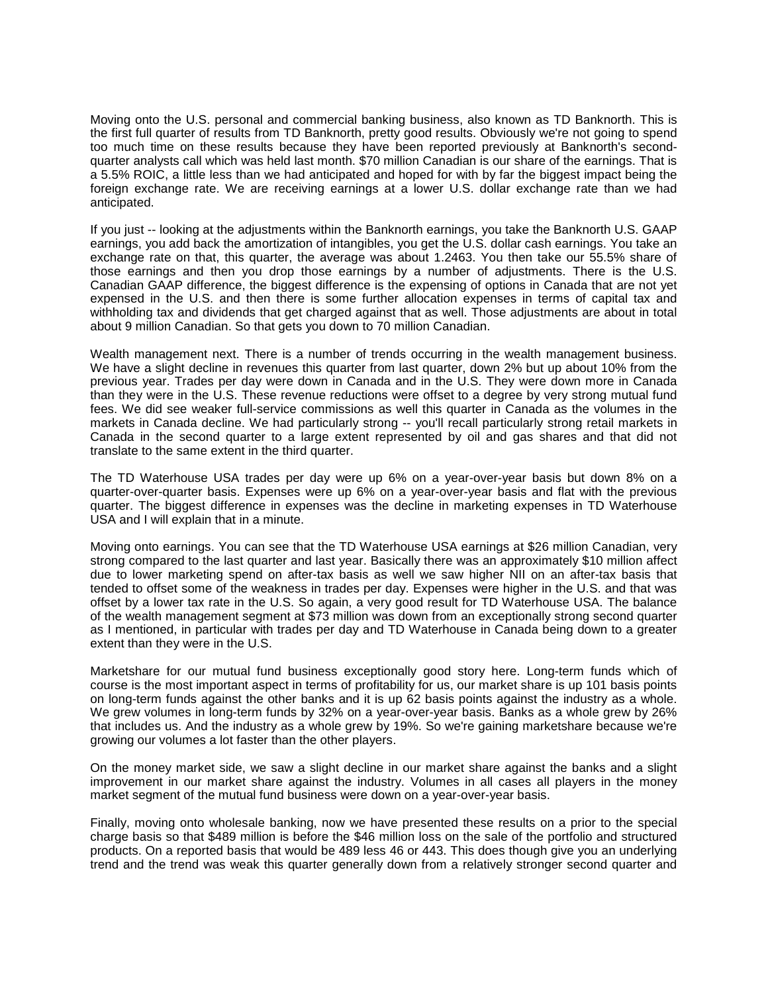Moving onto the U.S. personal and commercial banking business, also known as TD Banknorth. This is the first full quarter of results from TD Banknorth, pretty good results. Obviously we're not going to spend too much time on these results because they have been reported previously at Banknorth's secondquarter analysts call which was held last month. \$70 million Canadian is our share of the earnings. That is a 5.5% ROIC, a little less than we had anticipated and hoped for with by far the biggest impact being the foreign exchange rate. We are receiving earnings at a lower U.S. dollar exchange rate than we had anticipated.

If you just -- looking at the adjustments within the Banknorth earnings, you take the Banknorth U.S. GAAP earnings, you add back the amortization of intangibles, you get the U.S. dollar cash earnings. You take an exchange rate on that, this quarter, the average was about 1.2463. You then take our 55.5% share of those earnings and then you drop those earnings by a number of adjustments. There is the U.S. Canadian GAAP difference, the biggest difference is the expensing of options in Canada that are not yet expensed in the U.S. and then there is some further allocation expenses in terms of capital tax and withholding tax and dividends that get charged against that as well. Those adjustments are about in total about 9 million Canadian. So that gets you down to 70 million Canadian.

Wealth management next. There is a number of trends occurring in the wealth management business. We have a slight decline in revenues this quarter from last quarter, down 2% but up about 10% from the previous year. Trades per day were down in Canada and in the U.S. They were down more in Canada than they were in the U.S. These revenue reductions were offset to a degree by very strong mutual fund fees. We did see weaker full-service commissions as well this quarter in Canada as the volumes in the markets in Canada decline. We had particularly strong -- you'll recall particularly strong retail markets in Canada in the second quarter to a large extent represented by oil and gas shares and that did not translate to the same extent in the third quarter.

The TD Waterhouse USA trades per day were up 6% on a year-over-year basis but down 8% on a quarter-over-quarter basis. Expenses were up 6% on a year-over-year basis and flat with the previous quarter. The biggest difference in expenses was the decline in marketing expenses in TD Waterhouse USA and I will explain that in a minute.

Moving onto earnings. You can see that the TD Waterhouse USA earnings at \$26 million Canadian, very strong compared to the last quarter and last year. Basically there was an approximately \$10 million affect due to lower marketing spend on after-tax basis as well we saw higher NII on an after-tax basis that tended to offset some of the weakness in trades per day. Expenses were higher in the U.S. and that was offset by a lower tax rate in the U.S. So again, a very good result for TD Waterhouse USA. The balance of the wealth management segment at \$73 million was down from an exceptionally strong second quarter as I mentioned, in particular with trades per day and TD Waterhouse in Canada being down to a greater extent than they were in the U.S.

Marketshare for our mutual fund business exceptionally good story here. Long-term funds which of course is the most important aspect in terms of profitability for us, our market share is up 101 basis points on long-term funds against the other banks and it is up 62 basis points against the industry as a whole. We grew volumes in long-term funds by 32% on a year-over-year basis. Banks as a whole grew by 26% that includes us. And the industry as a whole grew by 19%. So we're gaining marketshare because we're growing our volumes a lot faster than the other players.

On the money market side, we saw a slight decline in our market share against the banks and a slight improvement in our market share against the industry. Volumes in all cases all players in the money market segment of the mutual fund business were down on a year-over-year basis.

Finally, moving onto wholesale banking, now we have presented these results on a prior to the special charge basis so that \$489 million is before the \$46 million loss on the sale of the portfolio and structured products. On a reported basis that would be 489 less 46 or 443. This does though give you an underlying trend and the trend was weak this quarter generally down from a relatively stronger second quarter and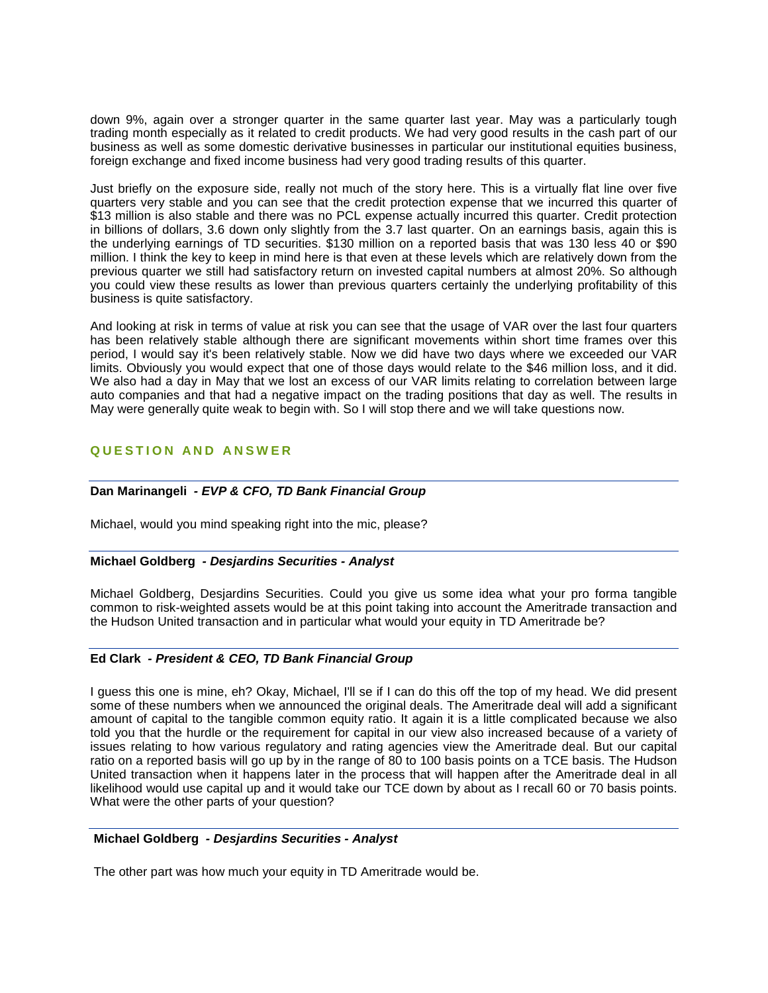down 9%, again over a stronger quarter in the same quarter last year. May was a particularly tough trading month especially as it related to credit products. We had very good results in the cash part of our business as well as some domestic derivative businesses in particular our institutional equities business, foreign exchange and fixed income business had very good trading results of this quarter.

Just briefly on the exposure side, really not much of the story here. This is a virtually flat line over five quarters very stable and you can see that the credit protection expense that we incurred this quarter of \$13 million is also stable and there was no PCL expense actually incurred this quarter. Credit protection in billions of dollars, 3.6 down only slightly from the 3.7 last quarter. On an earnings basis, again this is the underlying earnings of TD securities. \$130 million on a reported basis that was 130 less 40 or \$90 million. I think the key to keep in mind here is that even at these levels which are relatively down from the previous quarter we still had satisfactory return on invested capital numbers at almost 20%. So although you could view these results as lower than previous quarters certainly the underlying profitability of this business is quite satisfactory.

And looking at risk in terms of value at risk you can see that the usage of VAR over the last four quarters has been relatively stable although there are significant movements within short time frames over this period, I would say it's been relatively stable. Now we did have two days where we exceeded our VAR limits. Obviously you would expect that one of those days would relate to the \$46 million loss, and it did. We also had a day in May that we lost an excess of our VAR limits relating to correlation between large auto companies and that had a negative impact on the trading positions that day as well. The results in May were generally quite weak to begin with. So I will stop there and we will take questions now.

# **QUESTION AND ANSWER**

## **Dan Marinangeli** *- EVP & CFO, TD Bank Financial Group*

Michael, would you mind speaking right into the mic, please?

#### **Michael Goldberg** *- Desjardins Securities - Analyst*

Michael Goldberg, Desjardins Securities. Could you give us some idea what your pro forma tangible common to risk-weighted assets would be at this point taking into account the Ameritrade transaction and the Hudson United transaction and in particular what would your equity in TD Ameritrade be?

# **Ed Clark** *- President & CEO, TD Bank Financial Group*

I guess this one is mine, eh? Okay, Michael, I'll se if I can do this off the top of my head. We did present some of these numbers when we announced the original deals. The Ameritrade deal will add a significant amount of capital to the tangible common equity ratio. It again it is a little complicated because we also told you that the hurdle or the requirement for capital in our view also increased because of a variety of issues relating to how various regulatory and rating agencies view the Ameritrade deal. But our capital ratio on a reported basis will go up by in the range of 80 to 100 basis points on a TCE basis. The Hudson United transaction when it happens later in the process that will happen after the Ameritrade deal in all likelihood would use capital up and it would take our TCE down by about as I recall 60 or 70 basis points. What were the other parts of your question?

#### **Michael Goldberg** *- Desjardins Securities - Analyst*

The other part was how much your equity in TD Ameritrade would be.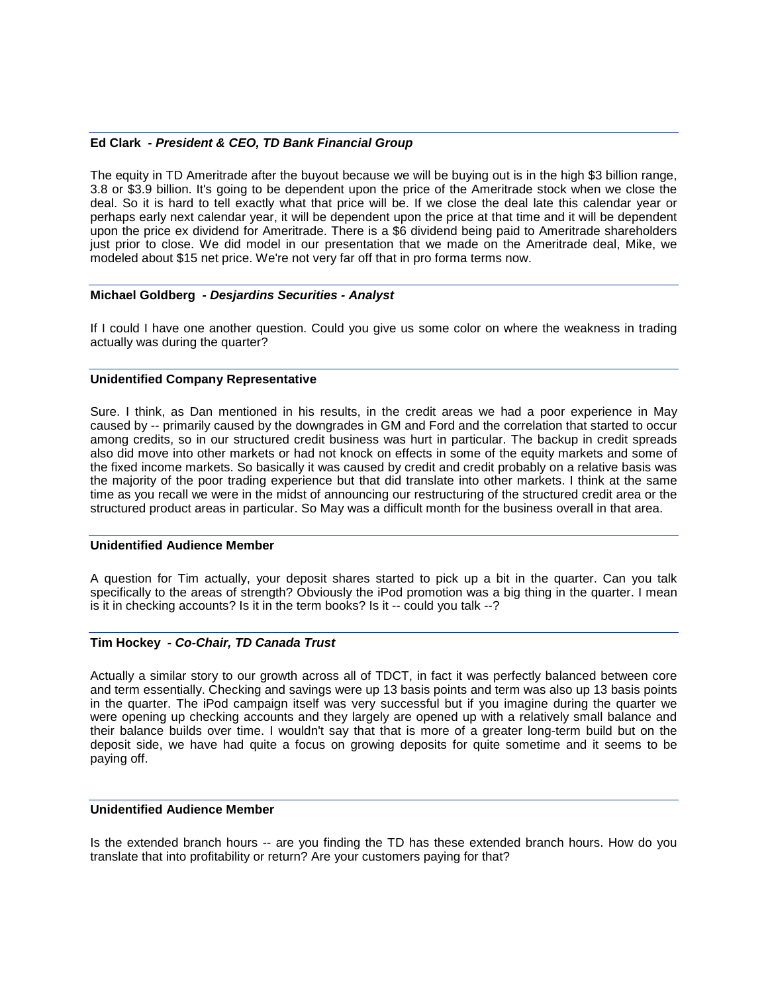## **Ed Clark** *- President & CEO, TD Bank Financial Group*

The equity in TD Ameritrade after the buyout because we will be buying out is in the high \$3 billion range, 3.8 or \$3.9 billion. It's going to be dependent upon the price of the Ameritrade stock when we close the deal. So it is hard to tell exactly what that price will be. If we close the deal late this calendar year or perhaps early next calendar year, it will be dependent upon the price at that time and it will be dependent upon the price ex dividend for Ameritrade. There is a \$6 dividend being paid to Ameritrade shareholders just prior to close. We did model in our presentation that we made on the Ameritrade deal, Mike, we modeled about \$15 net price. We're not very far off that in pro forma terms now.

#### **Michael Goldberg** *- Desjardins Securities - Analyst*

If I could I have one another question. Could you give us some color on where the weakness in trading actually was during the quarter?

#### **Unidentified Company Representative**

Sure. I think, as Dan mentioned in his results, in the credit areas we had a poor experience in May caused by -- primarily caused by the downgrades in GM and Ford and the correlation that started to occur among credits, so in our structured credit business was hurt in particular. The backup in credit spreads also did move into other markets or had not knock on effects in some of the equity markets and some of the fixed income markets. So basically it was caused by credit and credit probably on a relative basis was the majority of the poor trading experience but that did translate into other markets. I think at the same time as you recall we were in the midst of announcing our restructuring of the structured credit area or the structured product areas in particular. So May was a difficult month for the business overall in that area.

#### **Unidentified Audience Member**

A question for Tim actually, your deposit shares started to pick up a bit in the quarter. Can you talk specifically to the areas of strength? Obviously the iPod promotion was a big thing in the quarter. I mean is it in checking accounts? Is it in the term books? Is it -- could you talk --?

# **Tim Hockey** *- Co-Chair, TD Canada Trust*

Actually a similar story to our growth across all of TDCT, in fact it was perfectly balanced between core and term essentially. Checking and savings were up 13 basis points and term was also up 13 basis points in the quarter. The iPod campaign itself was very successful but if you imagine during the quarter we were opening up checking accounts and they largely are opened up with a relatively small balance and their balance builds over time. I wouldn't say that that is more of a greater long-term build but on the deposit side, we have had quite a focus on growing deposits for quite sometime and it seems to be paying off.

#### **Unidentified Audience Member**

Is the extended branch hours -- are you finding the TD has these extended branch hours. How do you translate that into profitability or return? Are your customers paying for that?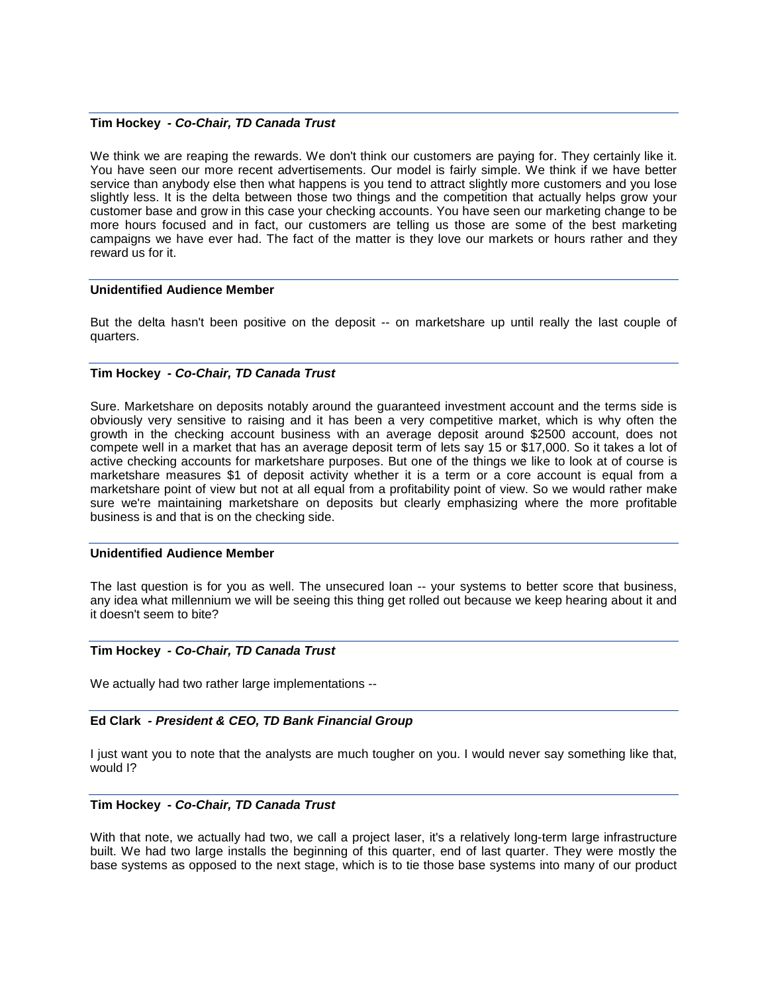#### **Tim Hockey** *- Co-Chair, TD Canada Trust*

We think we are reaping the rewards. We don't think our customers are paying for. They certainly like it. You have seen our more recent advertisements. Our model is fairly simple. We think if we have better service than anybody else then what happens is you tend to attract slightly more customers and you lose slightly less. It is the delta between those two things and the competition that actually helps grow your customer base and grow in this case your checking accounts. You have seen our marketing change to be more hours focused and in fact, our customers are telling us those are some of the best marketing campaigns we have ever had. The fact of the matter is they love our markets or hours rather and they reward us for it.

## **Unidentified Audience Member**

But the delta hasn't been positive on the deposit -- on marketshare up until really the last couple of quarters.

#### **Tim Hockey** *- Co-Chair, TD Canada Trust*

Sure. Marketshare on deposits notably around the guaranteed investment account and the terms side is obviously very sensitive to raising and it has been a very competitive market, which is why often the growth in the checking account business with an average deposit around \$2500 account, does not compete well in a market that has an average deposit term of lets say 15 or \$17,000. So it takes a lot of active checking accounts for marketshare purposes. But one of the things we like to look at of course is marketshare measures \$1 of deposit activity whether it is a term or a core account is equal from a marketshare point of view but not at all equal from a profitability point of view. So we would rather make sure we're maintaining marketshare on deposits but clearly emphasizing where the more profitable business is and that is on the checking side.

#### **Unidentified Audience Member**

The last question is for you as well. The unsecured loan -- your systems to better score that business, any idea what millennium we will be seeing this thing get rolled out because we keep hearing about it and it doesn't seem to bite?

#### **Tim Hockey** *- Co-Chair, TD Canada Trust*

We actually had two rather large implementations --

#### **Ed Clark** *- President & CEO, TD Bank Financial Group*

I just want you to note that the analysts are much tougher on you. I would never say something like that, would I?

#### **Tim Hockey** *- Co-Chair, TD Canada Trust*

With that note, we actually had two, we call a project laser, it's a relatively long-term large infrastructure built. We had two large installs the beginning of this quarter, end of last quarter. They were mostly the base systems as opposed to the next stage, which is to tie those base systems into many of our product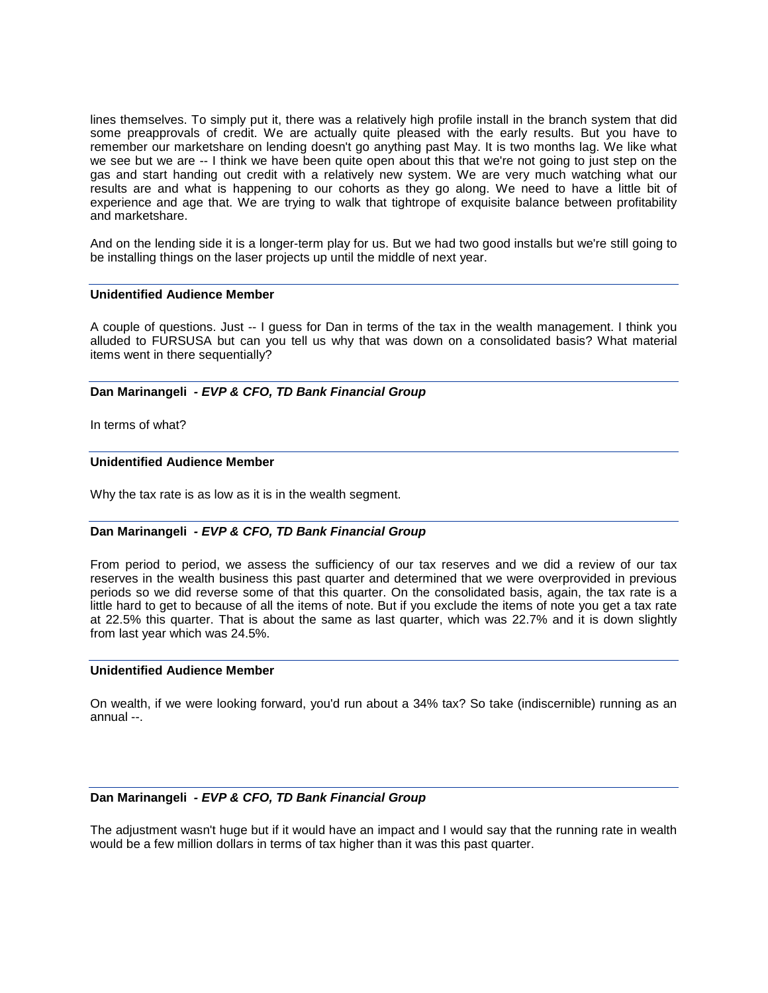lines themselves. To simply put it, there was a relatively high profile install in the branch system that did some preapprovals of credit. We are actually quite pleased with the early results. But you have to remember our marketshare on lending doesn't go anything past May. It is two months lag. We like what we see but we are -- I think we have been quite open about this that we're not going to just step on the gas and start handing out credit with a relatively new system. We are very much watching what our results are and what is happening to our cohorts as they go along. We need to have a little bit of experience and age that. We are trying to walk that tightrope of exquisite balance between profitability and marketshare.

And on the lending side it is a longer-term play for us. But we had two good installs but we're still going to be installing things on the laser projects up until the middle of next year.

#### **Unidentified Audience Member**

A couple of questions. Just -- I guess for Dan in terms of the tax in the wealth management. I think you alluded to FURSUSA but can you tell us why that was down on a consolidated basis? What material items went in there sequentially?

#### **Dan Marinangeli** *- EVP & CFO, TD Bank Financial Group*

In terms of what?

# **Unidentified Audience Member**

Why the tax rate is as low as it is in the wealth segment.

#### **Dan Marinangeli** *- EVP & CFO, TD Bank Financial Group*

From period to period, we assess the sufficiency of our tax reserves and we did a review of our tax reserves in the wealth business this past quarter and determined that we were overprovided in previous periods so we did reverse some of that this quarter. On the consolidated basis, again, the tax rate is a little hard to get to because of all the items of note. But if you exclude the items of note you get a tax rate at 22.5% this quarter. That is about the same as last quarter, which was 22.7% and it is down slightly from last year which was 24.5%.

#### **Unidentified Audience Member**

On wealth, if we were looking forward, you'd run about a 34% tax? So take (indiscernible) running as an annual --.

#### **Dan Marinangeli** *- EVP & CFO, TD Bank Financial Group*

The adjustment wasn't huge but if it would have an impact and I would say that the running rate in wealth would be a few million dollars in terms of tax higher than it was this past quarter.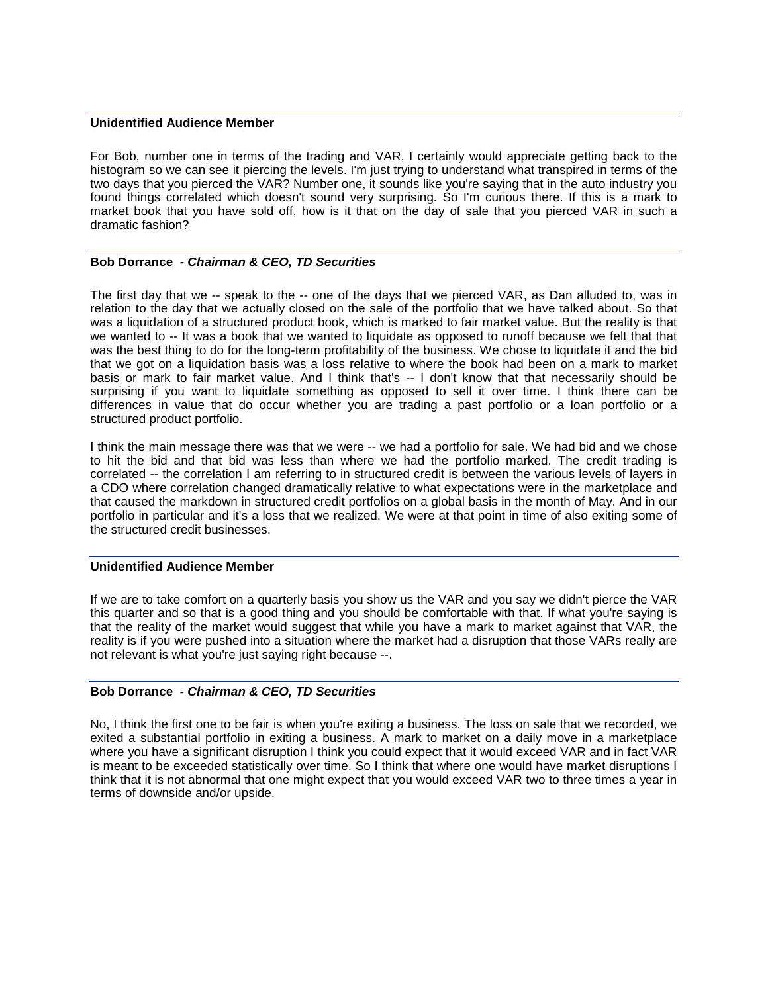# **Unidentified Audience Member**

For Bob, number one in terms of the trading and VAR, I certainly would appreciate getting back to the histogram so we can see it piercing the levels. I'm just trying to understand what transpired in terms of the two days that you pierced the VAR? Number one, it sounds like you're saying that in the auto industry you found things correlated which doesn't sound very surprising. So I'm curious there. If this is a mark to market book that you have sold off, how is it that on the day of sale that you pierced VAR in such a dramatic fashion?

# **Bob Dorrance** *- Chairman & CEO, TD Securities*

The first day that we -- speak to the -- one of the days that we pierced VAR, as Dan alluded to, was in relation to the day that we actually closed on the sale of the portfolio that we have talked about. So that was a liquidation of a structured product book, which is marked to fair market value. But the reality is that we wanted to -- It was a book that we wanted to liquidate as opposed to runoff because we felt that that was the best thing to do for the long-term profitability of the business. We chose to liquidate it and the bid that we got on a liquidation basis was a loss relative to where the book had been on a mark to market basis or mark to fair market value. And I think that's -- I don't know that that necessarily should be surprising if you want to liquidate something as opposed to sell it over time. I think there can be differences in value that do occur whether you are trading a past portfolio or a loan portfolio or a structured product portfolio.

I think the main message there was that we were -- we had a portfolio for sale. We had bid and we chose to hit the bid and that bid was less than where we had the portfolio marked. The credit trading is correlated -- the correlation I am referring to in structured credit is between the various levels of layers in a CDO where correlation changed dramatically relative to what expectations were in the marketplace and that caused the markdown in structured credit portfolios on a global basis in the month of May. And in our portfolio in particular and it's a loss that we realized. We were at that point in time of also exiting some of the structured credit businesses.

# **Unidentified Audience Member**

If we are to take comfort on a quarterly basis you show us the VAR and you say we didn't pierce the VAR this quarter and so that is a good thing and you should be comfortable with that. If what you're saying is that the reality of the market would suggest that while you have a mark to market against that VAR, the reality is if you were pushed into a situation where the market had a disruption that those VARs really are not relevant is what you're just saying right because --.

# **Bob Dorrance** *- Chairman & CEO, TD Securities*

No, I think the first one to be fair is when you're exiting a business. The loss on sale that we recorded, we exited a substantial portfolio in exiting a business. A mark to market on a daily move in a marketplace where you have a significant disruption I think you could expect that it would exceed VAR and in fact VAR is meant to be exceeded statistically over time. So I think that where one would have market disruptions I think that it is not abnormal that one might expect that you would exceed VAR two to three times a year in terms of downside and/or upside.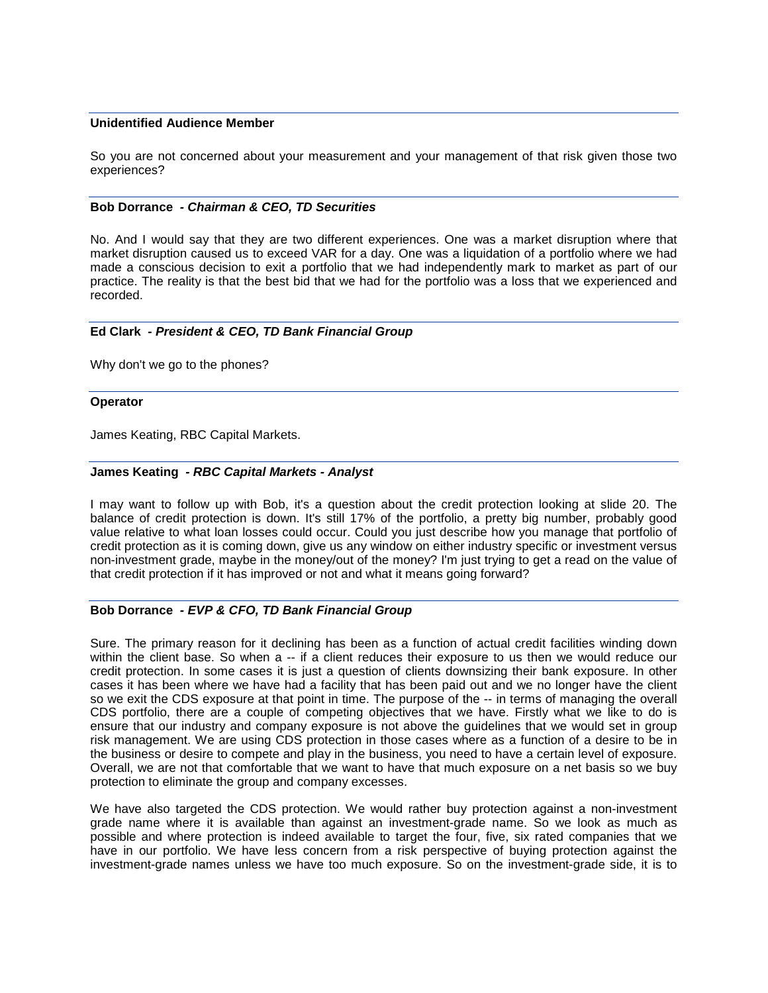# **Unidentified Audience Member**

So you are not concerned about your measurement and your management of that risk given those two experiences?

### **Bob Dorrance** *- Chairman & CEO, TD Securities*

No. And I would say that they are two different experiences. One was a market disruption where that market disruption caused us to exceed VAR for a day. One was a liquidation of a portfolio where we had made a conscious decision to exit a portfolio that we had independently mark to market as part of our practice. The reality is that the best bid that we had for the portfolio was a loss that we experienced and recorded.

### **Ed Clark** *- President & CEO, TD Bank Financial Group*

Why don't we go to the phones?

### **Operator**

James Keating, RBC Capital Markets.

### **James Keating** *- RBC Capital Markets - Analyst*

I may want to follow up with Bob, it's a question about the credit protection looking at slide 20. The balance of credit protection is down. It's still 17% of the portfolio, a pretty big number, probably good value relative to what loan losses could occur. Could you just describe how you manage that portfolio of credit protection as it is coming down, give us any window on either industry specific or investment versus non-investment grade, maybe in the money/out of the money? I'm just trying to get a read on the value of that credit protection if it has improved or not and what it means going forward?

# **Bob Dorrance** *- EVP & CFO, TD Bank Financial Group*

Sure. The primary reason for it declining has been as a function of actual credit facilities winding down within the client base. So when a -- if a client reduces their exposure to us then we would reduce our credit protection. In some cases it is just a question of clients downsizing their bank exposure. In other cases it has been where we have had a facility that has been paid out and we no longer have the client so we exit the CDS exposure at that point in time. The purpose of the -- in terms of managing the overall CDS portfolio, there are a couple of competing objectives that we have. Firstly what we like to do is ensure that our industry and company exposure is not above the guidelines that we would set in group risk management. We are using CDS protection in those cases where as a function of a desire to be in the business or desire to compete and play in the business, you need to have a certain level of exposure. Overall, we are not that comfortable that we want to have that much exposure on a net basis so we buy protection to eliminate the group and company excesses.

We have also targeted the CDS protection. We would rather buy protection against a non-investment grade name where it is available than against an investment-grade name. So we look as much as possible and where protection is indeed available to target the four, five, six rated companies that we have in our portfolio. We have less concern from a risk perspective of buying protection against the investment-grade names unless we have too much exposure. So on the investment-grade side, it is to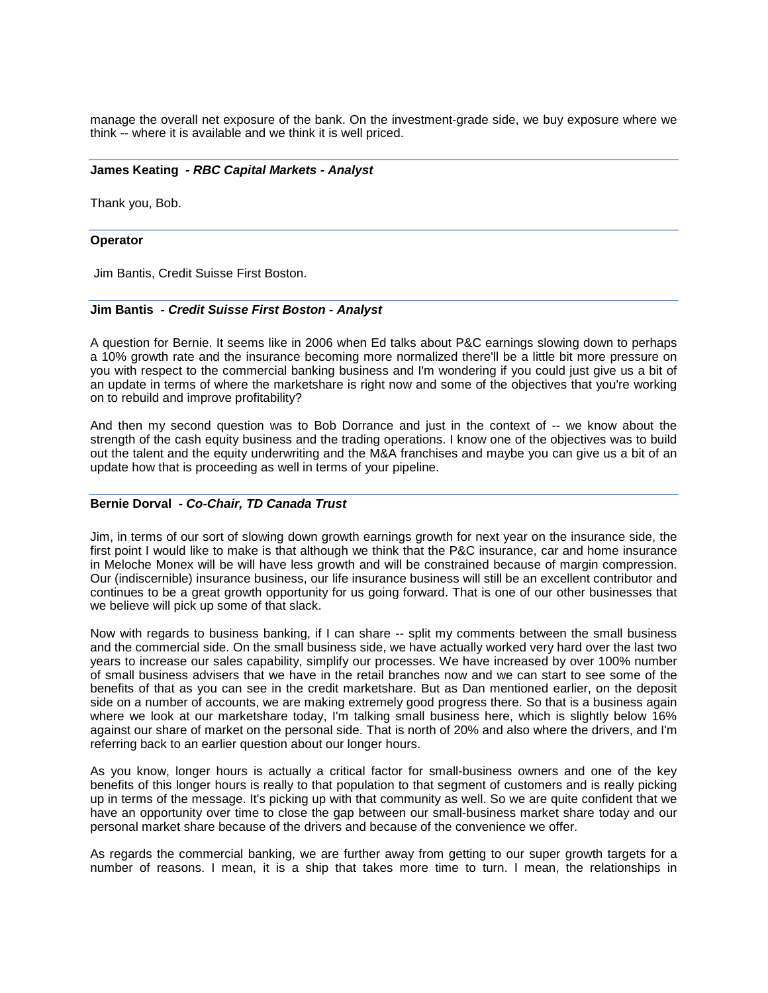manage the overall net exposure of the bank. On the investment-grade side, we buy exposure where we think -- where it is available and we think it is well priced.

#### **James Keating** *- RBC Capital Markets - Analyst*

Thank you, Bob.

#### **Operator**

Jim Bantis, Credit Suisse First Boston.

### **Jim Bantis** *- Credit Suisse First Boston - Analyst*

A question for Bernie. It seems like in 2006 when Ed talks about P&C earnings slowing down to perhaps a 10% growth rate and the insurance becoming more normalized there'll be a little bit more pressure on you with respect to the commercial banking business and I'm wondering if you could just give us a bit of an update in terms of where the marketshare is right now and some of the objectives that you're working on to rebuild and improve profitability?

And then my second question was to Bob Dorrance and just in the context of -- we know about the strength of the cash equity business and the trading operations. I know one of the objectives was to build out the talent and the equity underwriting and the M&A franchises and maybe you can give us a bit of an update how that is proceeding as well in terms of your pipeline.

# **Bernie Dorval** *- Co-Chair, TD Canada Trust*

Jim, in terms of our sort of slowing down growth earnings growth for next year on the insurance side, the first point I would like to make is that although we think that the P&C insurance, car and home insurance in Meloche Monex will be will have less growth and will be constrained because of margin compression. Our (indiscernible) insurance business, our life insurance business will still be an excellent contributor and continues to be a great growth opportunity for us going forward. That is one of our other businesses that we believe will pick up some of that slack.

Now with regards to business banking, if I can share -- split my comments between the small business and the commercial side. On the small business side, we have actually worked very hard over the last two years to increase our sales capability, simplify our processes. We have increased by over 100% number of small business advisers that we have in the retail branches now and we can start to see some of the benefits of that as you can see in the credit marketshare. But as Dan mentioned earlier, on the deposit side on a number of accounts, we are making extremely good progress there. So that is a business again where we look at our marketshare today, I'm talking small business here, which is slightly below 16% against our share of market on the personal side. That is north of 20% and also where the drivers, and I'm referring back to an earlier question about our longer hours.

As you know, longer hours is actually a critical factor for small-business owners and one of the key benefits of this longer hours is really to that population to that segment of customers and is really picking up in terms of the message. It's picking up with that community as well. So we are quite confident that we have an opportunity over time to close the gap between our small-business market share today and our personal market share because of the drivers and because of the convenience we offer.

As regards the commercial banking, we are further away from getting to our super growth targets for a number of reasons. I mean, it is a ship that takes more time to turn. I mean, the relationships in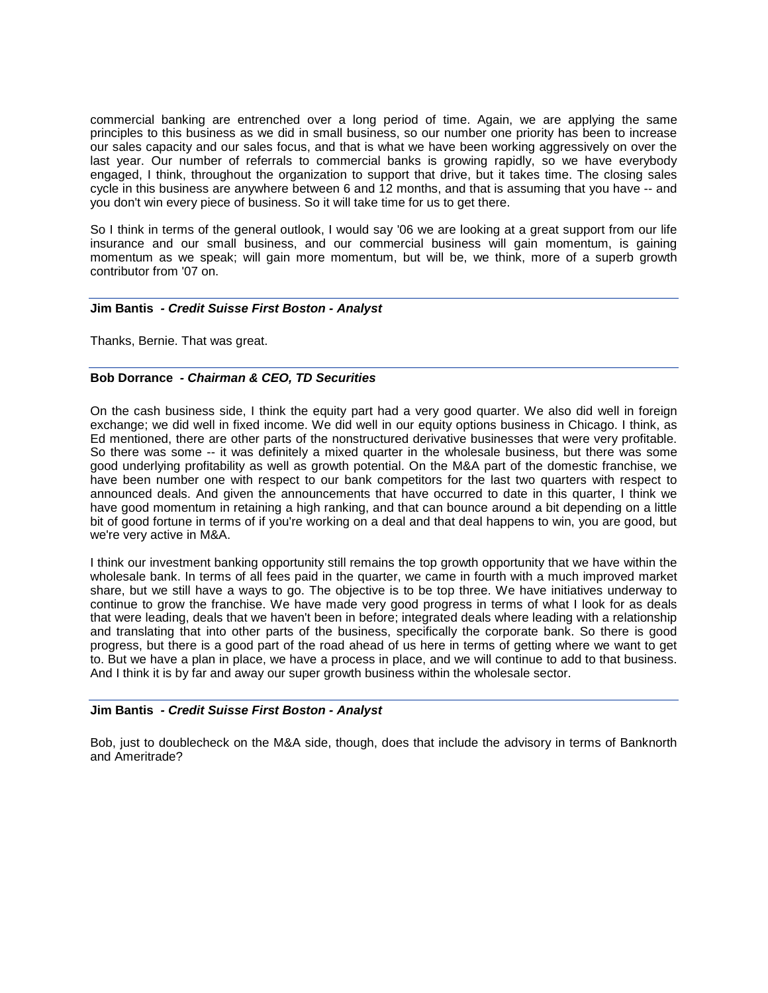commercial banking are entrenched over a long period of time. Again, we are applying the same principles to this business as we did in small business, so our number one priority has been to increase our sales capacity and our sales focus, and that is what we have been working aggressively on over the last year. Our number of referrals to commercial banks is growing rapidly, so we have everybody engaged, I think, throughout the organization to support that drive, but it takes time. The closing sales cycle in this business are anywhere between 6 and 12 months, and that is assuming that you have -- and you don't win every piece of business. So it will take time for us to get there.

So I think in terms of the general outlook, I would say '06 we are looking at a great support from our life insurance and our small business, and our commercial business will gain momentum, is gaining momentum as we speak; will gain more momentum, but will be, we think, more of a superb growth contributor from '07 on.

### **Jim Bantis** *- Credit Suisse First Boston - Analyst*

Thanks, Bernie. That was great.

# **Bob Dorrance** *- Chairman & CEO, TD Securities*

On the cash business side, I think the equity part had a very good quarter. We also did well in foreign exchange; we did well in fixed income. We did well in our equity options business in Chicago. I think, as Ed mentioned, there are other parts of the nonstructured derivative businesses that were very profitable. So there was some -- it was definitely a mixed quarter in the wholesale business, but there was some good underlying profitability as well as growth potential. On the M&A part of the domestic franchise, we have been number one with respect to our bank competitors for the last two quarters with respect to announced deals. And given the announcements that have occurred to date in this quarter, I think we have good momentum in retaining a high ranking, and that can bounce around a bit depending on a little bit of good fortune in terms of if you're working on a deal and that deal happens to win, you are good, but we're very active in M&A.

I think our investment banking opportunity still remains the top growth opportunity that we have within the wholesale bank. In terms of all fees paid in the quarter, we came in fourth with a much improved market share, but we still have a ways to go. The objective is to be top three. We have initiatives underway to continue to grow the franchise. We have made very good progress in terms of what I look for as deals that were leading, deals that we haven't been in before; integrated deals where leading with a relationship and translating that into other parts of the business, specifically the corporate bank. So there is good progress, but there is a good part of the road ahead of us here in terms of getting where we want to get to. But we have a plan in place, we have a process in place, and we will continue to add to that business. And I think it is by far and away our super growth business within the wholesale sector.

### **Jim Bantis** *- Credit Suisse First Boston - Analyst*

Bob, just to doublecheck on the M&A side, though, does that include the advisory in terms of Banknorth and Ameritrade?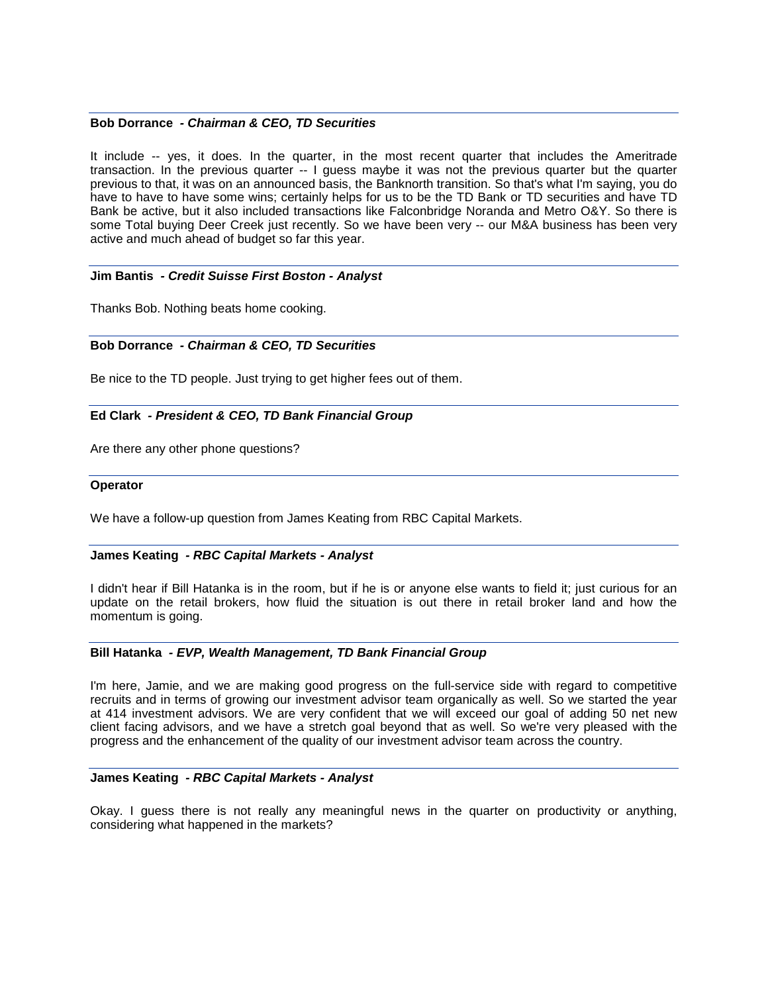#### **Bob Dorrance** *- Chairman & CEO, TD Securities*

It include -- yes, it does. In the quarter, in the most recent quarter that includes the Ameritrade transaction. In the previous quarter -- I guess maybe it was not the previous quarter but the quarter previous to that, it was on an announced basis, the Banknorth transition. So that's what I'm saying, you do have to have to have some wins; certainly helps for us to be the TD Bank or TD securities and have TD Bank be active, but it also included transactions like Falconbridge Noranda and Metro O&Y. So there is some Total buying Deer Creek just recently. So we have been very -- our M&A business has been very active and much ahead of budget so far this year.

### **Jim Bantis** *- Credit Suisse First Boston - Analyst*

Thanks Bob. Nothing beats home cooking.

### **Bob Dorrance** *- Chairman & CEO, TD Securities*

Be nice to the TD people. Just trying to get higher fees out of them.

#### **Ed Clark** *- President & CEO, TD Bank Financial Group*

Are there any other phone questions?

#### **Operator**

We have a follow-up question from James Keating from RBC Capital Markets.

#### **James Keating** *- RBC Capital Markets - Analyst*

I didn't hear if Bill Hatanka is in the room, but if he is or anyone else wants to field it; just curious for an update on the retail brokers, how fluid the situation is out there in retail broker land and how the momentum is going.

#### **Bill Hatanka** *- EVP, Wealth Management, TD Bank Financial Group*

I'm here, Jamie, and we are making good progress on the full-service side with regard to competitive recruits and in terms of growing our investment advisor team organically as well. So we started the year at 414 investment advisors. We are very confident that we will exceed our goal of adding 50 net new client facing advisors, and we have a stretch goal beyond that as well. So we're very pleased with the progress and the enhancement of the quality of our investment advisor team across the country.

#### **James Keating** *- RBC Capital Markets - Analyst*

Okay. I guess there is not really any meaningful news in the quarter on productivity or anything, considering what happened in the markets?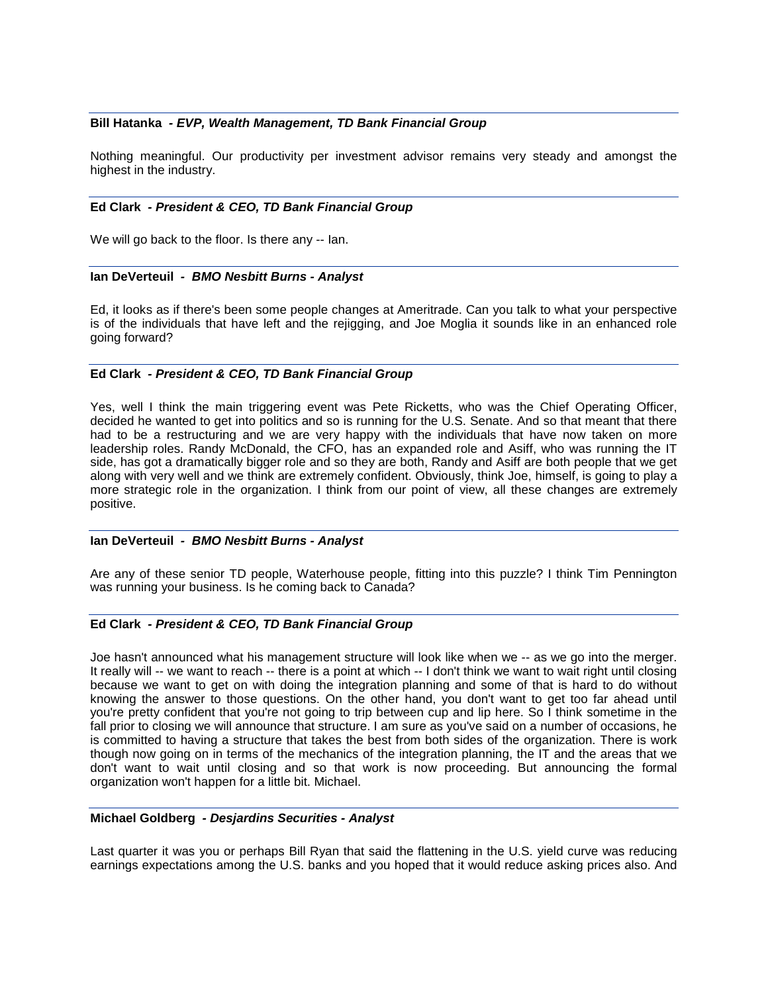### **Bill Hatanka** *- EVP, Wealth Management, TD Bank Financial Group*

Nothing meaningful. Our productivity per investment advisor remains very steady and amongst the highest in the industry.

#### **Ed Clark** *- President & CEO, TD Bank Financial Group*

We will go back to the floor. Is there any -- Ian.

#### **Ian DeVerteuil** *- BMO Nesbitt Burns - Analyst*

Ed, it looks as if there's been some people changes at Ameritrade. Can you talk to what your perspective is of the individuals that have left and the rejigging, and Joe Moglia it sounds like in an enhanced role going forward?

#### **Ed Clark** *- President & CEO, TD Bank Financial Group*

Yes, well I think the main triggering event was Pete Ricketts, who was the Chief Operating Officer, decided he wanted to get into politics and so is running for the U.S. Senate. And so that meant that there had to be a restructuring and we are very happy with the individuals that have now taken on more leadership roles. Randy McDonald, the CFO, has an expanded role and Asiff, who was running the IT side, has got a dramatically bigger role and so they are both, Randy and Asiff are both people that we get along with very well and we think are extremely confident. Obviously, think Joe, himself, is going to play a more strategic role in the organization. I think from our point of view, all these changes are extremely positive.

#### **Ian DeVerteuil** *- BMO Nesbitt Burns - Analyst*

Are any of these senior TD people, Waterhouse people, fitting into this puzzle? I think Tim Pennington was running your business. Is he coming back to Canada?

#### **Ed Clark** *- President & CEO, TD Bank Financial Group*

Joe hasn't announced what his management structure will look like when we -- as we go into the merger. It really will -- we want to reach -- there is a point at which -- I don't think we want to wait right until closing because we want to get on with doing the integration planning and some of that is hard to do without knowing the answer to those questions. On the other hand, you don't want to get too far ahead until you're pretty confident that you're not going to trip between cup and lip here. So I think sometime in the fall prior to closing we will announce that structure. I am sure as you've said on a number of occasions, he is committed to having a structure that takes the best from both sides of the organization. There is work though now going on in terms of the mechanics of the integration planning, the IT and the areas that we don't want to wait until closing and so that work is now proceeding. But announcing the formal organization won't happen for a little bit. Michael.

# **Michael Goldberg** *- Desjardins Securities - Analyst*

Last quarter it was you or perhaps Bill Ryan that said the flattening in the U.S. yield curve was reducing earnings expectations among the U.S. banks and you hoped that it would reduce asking prices also. And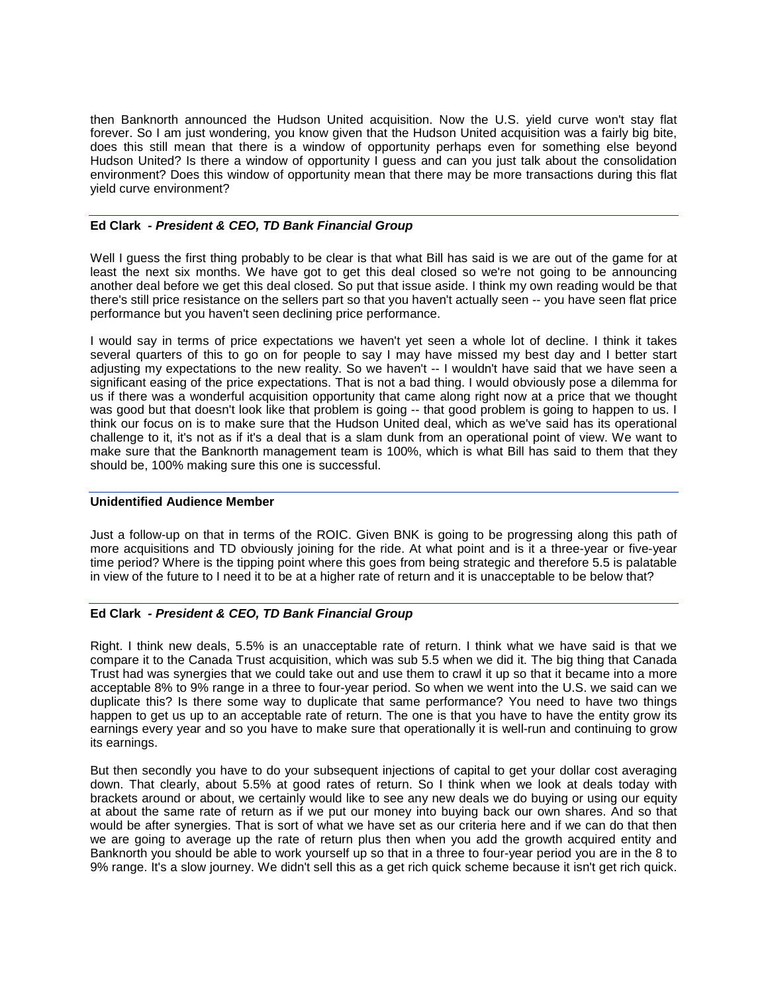then Banknorth announced the Hudson United acquisition. Now the U.S. yield curve won't stay flat forever. So I am just wondering, you know given that the Hudson United acquisition was a fairly big bite, does this still mean that there is a window of opportunity perhaps even for something else beyond Hudson United? Is there a window of opportunity I guess and can you just talk about the consolidation environment? Does this window of opportunity mean that there may be more transactions during this flat yield curve environment?

# **Ed Clark** *- President & CEO, TD Bank Financial Group*

Well I guess the first thing probably to be clear is that what Bill has said is we are out of the game for at least the next six months. We have got to get this deal closed so we're not going to be announcing another deal before we get this deal closed. So put that issue aside. I think my own reading would be that there's still price resistance on the sellers part so that you haven't actually seen -- you have seen flat price performance but you haven't seen declining price performance.

I would say in terms of price expectations we haven't yet seen a whole lot of decline. I think it takes several quarters of this to go on for people to say I may have missed my best day and I better start adjusting my expectations to the new reality. So we haven't -- I wouldn't have said that we have seen a significant easing of the price expectations. That is not a bad thing. I would obviously pose a dilemma for us if there was a wonderful acquisition opportunity that came along right now at a price that we thought was good but that doesn't look like that problem is going -- that good problem is going to happen to us. I think our focus on is to make sure that the Hudson United deal, which as we've said has its operational challenge to it, it's not as if it's a deal that is a slam dunk from an operational point of view. We want to make sure that the Banknorth management team is 100%, which is what Bill has said to them that they should be, 100% making sure this one is successful.

# **Unidentified Audience Member**

Just a follow-up on that in terms of the ROIC. Given BNK is going to be progressing along this path of more acquisitions and TD obviously joining for the ride. At what point and is it a three-year or five-year time period? Where is the tipping point where this goes from being strategic and therefore 5.5 is palatable in view of the future to I need it to be at a higher rate of return and it is unacceptable to be below that?

# **Ed Clark** *- President & CEO, TD Bank Financial Group*

Right. I think new deals, 5.5% is an unacceptable rate of return. I think what we have said is that we compare it to the Canada Trust acquisition, which was sub 5.5 when we did it. The big thing that Canada Trust had was synergies that we could take out and use them to crawl it up so that it became into a more acceptable 8% to 9% range in a three to four-year period. So when we went into the U.S. we said can we duplicate this? Is there some way to duplicate that same performance? You need to have two things happen to get us up to an acceptable rate of return. The one is that you have to have the entity grow its earnings every year and so you have to make sure that operationally it is well-run and continuing to grow its earnings.

But then secondly you have to do your subsequent injections of capital to get your dollar cost averaging down. That clearly, about 5.5% at good rates of return. So I think when we look at deals today with brackets around or about, we certainly would like to see any new deals we do buying or using our equity at about the same rate of return as if we put our money into buying back our own shares. And so that would be after synergies. That is sort of what we have set as our criteria here and if we can do that then we are going to average up the rate of return plus then when you add the growth acquired entity and Banknorth you should be able to work yourself up so that in a three to four-year period you are in the 8 to 9% range. It's a slow journey. We didn't sell this as a get rich quick scheme because it isn't get rich quick.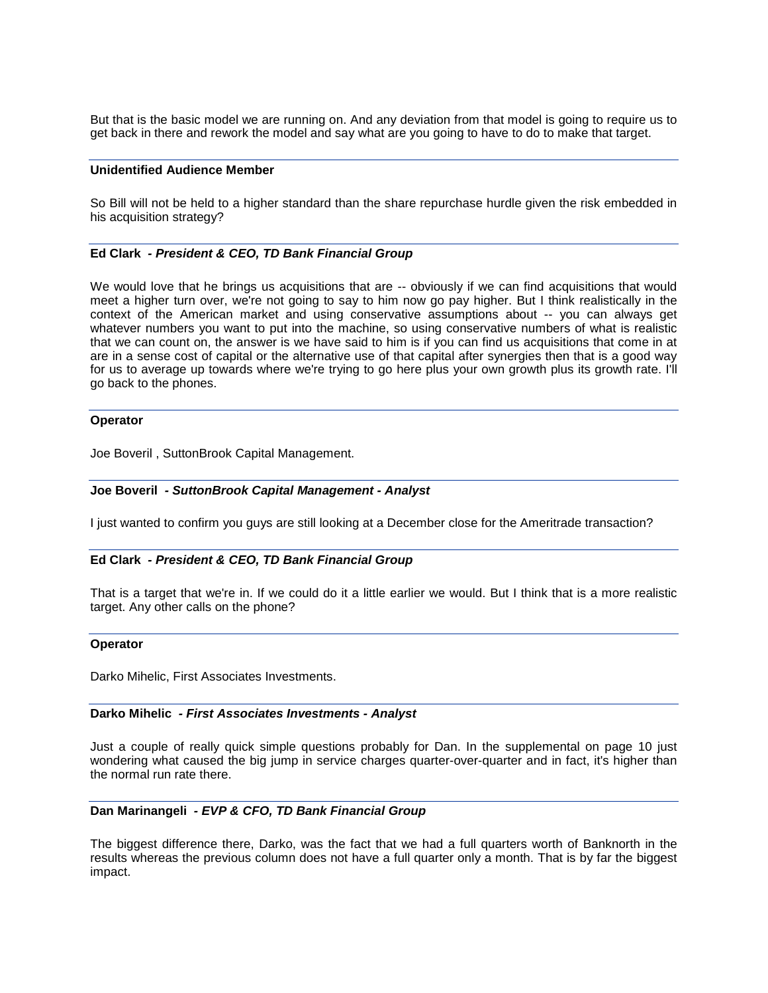But that is the basic model we are running on. And any deviation from that model is going to require us to get back in there and rework the model and say what are you going to have to do to make that target.

#### **Unidentified Audience Member**

So Bill will not be held to a higher standard than the share repurchase hurdle given the risk embedded in his acquisition strategy?

#### **Ed Clark** *- President & CEO, TD Bank Financial Group*

We would love that he brings us acquisitions that are  $-$  obviously if we can find acquisitions that would meet a higher turn over, we're not going to say to him now go pay higher. But I think realistically in the context of the American market and using conservative assumptions about -- you can always get whatever numbers you want to put into the machine, so using conservative numbers of what is realistic that we can count on, the answer is we have said to him is if you can find us acquisitions that come in at are in a sense cost of capital or the alternative use of that capital after synergies then that is a good way for us to average up towards where we're trying to go here plus your own growth plus its growth rate. I'll go back to the phones.

### **Operator**

Joe Boveril , SuttonBrook Capital Management.

#### **Joe Boveril** *- SuttonBrook Capital Management - Analyst*

I just wanted to confirm you guys are still looking at a December close for the Ameritrade transaction?

#### **Ed Clark** *- President & CEO, TD Bank Financial Group*

That is a target that we're in. If we could do it a little earlier we would. But I think that is a more realistic target. Any other calls on the phone?

#### **Operator**

Darko Mihelic, First Associates Investments.

#### **Darko Mihelic** *- First Associates Investments - Analyst*

Just a couple of really quick simple questions probably for Dan. In the supplemental on page 10 just wondering what caused the big jump in service charges quarter-over-quarter and in fact, it's higher than the normal run rate there.

#### **Dan Marinangeli** *- EVP & CFO, TD Bank Financial Group*

The biggest difference there, Darko, was the fact that we had a full quarters worth of Banknorth in the results whereas the previous column does not have a full quarter only a month. That is by far the biggest impact.